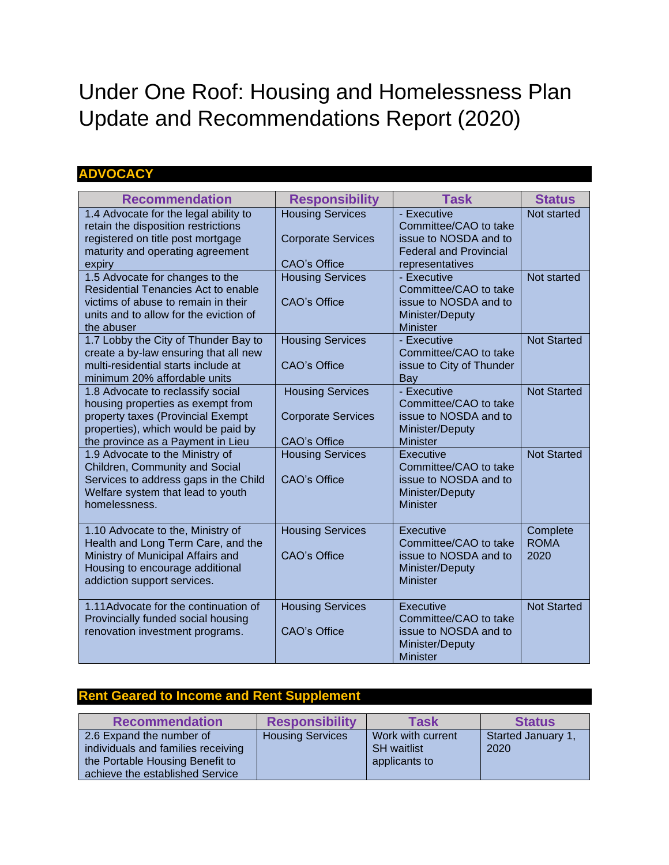# Under One Roof: Housing and Homelessness Plan Update and Recommendations Report (2020)

## **ADVOCACY**

| <b>Recommendation</b>                                                         | <b>Responsibility</b>     | <b>Task</b>                                       | <b>Status</b>      |
|-------------------------------------------------------------------------------|---------------------------|---------------------------------------------------|--------------------|
| 1.4 Advocate for the legal ability to<br>retain the disposition restrictions  | <b>Housing Services</b>   | - Executive<br>Committee/CAO to take              | Not started        |
| registered on title post mortgage                                             | <b>Corporate Services</b> | issue to NOSDA and to                             |                    |
| maturity and operating agreement<br>expiry                                    | CAO's Office              | <b>Federal and Provincial</b><br>representatives  |                    |
| 1.5 Advocate for changes to the                                               | <b>Housing Services</b>   | - Executive                                       | Not started        |
| Residential Tenancies Act to enable                                           |                           | Committee/CAO to take                             |                    |
| victims of abuse to remain in their<br>units and to allow for the eviction of | CAO's Office              | issue to NOSDA and to<br>Minister/Deputy          |                    |
| the abuser                                                                    |                           | <b>Minister</b>                                   |                    |
| 1.7 Lobby the City of Thunder Bay to                                          | <b>Housing Services</b>   | - Executive                                       | <b>Not Started</b> |
| create a by-law ensuring that all new<br>multi-residential starts include at  | CAO's Office              | Committee/CAO to take<br>issue to City of Thunder |                    |
| minimum 20% affordable units                                                  |                           | Bay                                               |                    |
| 1.8 Advocate to reclassify social                                             | <b>Housing Services</b>   | - Executive                                       | <b>Not Started</b> |
| housing properties as exempt from<br>property taxes (Provincial Exempt        | <b>Corporate Services</b> | Committee/CAO to take<br>issue to NOSDA and to    |                    |
| properties), which would be paid by                                           |                           | Minister/Deputy                                   |                    |
| the province as a Payment in Lieu                                             | <b>CAO's Office</b>       | <b>Minister</b>                                   |                    |
| 1.9 Advocate to the Ministry of<br>Children, Community and Social             | <b>Housing Services</b>   | <b>Executive</b><br>Committee/CAO to take         | <b>Not Started</b> |
| Services to address gaps in the Child                                         | CAO's Office              | issue to NOSDA and to                             |                    |
| Welfare system that lead to youth                                             |                           | Minister/Deputy                                   |                    |
| homelessness.                                                                 |                           | <b>Minister</b>                                   |                    |
| 1.10 Advocate to the, Ministry of                                             | <b>Housing Services</b>   | Executive                                         | Complete           |
| Health and Long Term Care, and the                                            |                           | Committee/CAO to take                             | <b>ROMA</b>        |
| Ministry of Municipal Affairs and<br>Housing to encourage additional          | <b>CAO's Office</b>       | issue to NOSDA and to<br>Minister/Deputy          | 2020               |
| addiction support services.                                                   |                           | <b>Minister</b>                                   |                    |
|                                                                               |                           |                                                   |                    |
| 1.11Advocate for the continuation of<br>Provincially funded social housing    | <b>Housing Services</b>   | Executive<br>Committee/CAO to take                | <b>Not Started</b> |
| renovation investment programs.                                               | <b>CAO's Office</b>       | issue to NOSDA and to                             |                    |
|                                                                               |                           | Minister/Deputy                                   |                    |
|                                                                               |                           | <b>Minister</b>                                   |                    |

### **Rent Geared to Income and Rent Supplement**

| <b>Recommendation</b>                                                                                                                | <b>Responsibility</b>   | <b>Task</b>                                              | <b>Status</b>              |
|--------------------------------------------------------------------------------------------------------------------------------------|-------------------------|----------------------------------------------------------|----------------------------|
| 2.6 Expand the number of<br>individuals and families receiving<br>the Portable Housing Benefit to<br>achieve the established Service | <b>Housing Services</b> | Work with current<br><b>SH</b> waitlist<br>applicants to | Started January 1,<br>2020 |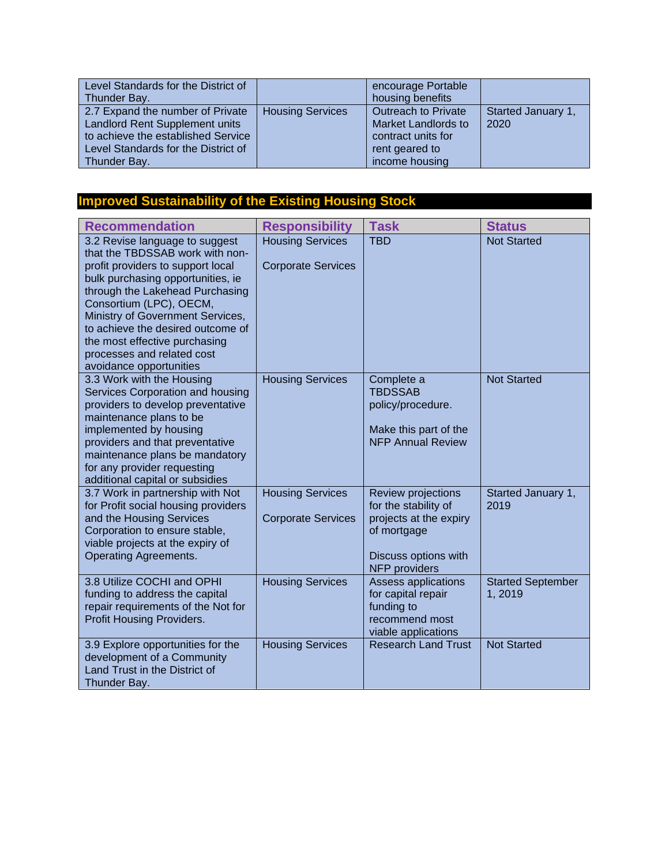| Level Standards for the District of<br>Thunder Bay.                                                                                                                    |                         | encourage Portable<br>housing benefits                                                                             |                            |
|------------------------------------------------------------------------------------------------------------------------------------------------------------------------|-------------------------|--------------------------------------------------------------------------------------------------------------------|----------------------------|
| 2.7 Expand the number of Private<br><b>Landlord Rent Supplement units</b><br>to achieve the established Service<br>Level Standards for the District of<br>Thunder Bay. | <b>Housing Services</b> | <b>Outreach to Private</b><br><b>Market Landlords to</b><br>contract units for<br>rent geared to<br>income housing | Started January 1,<br>2020 |

# **Improved Sustainability of the Existing Housing Stock**

| <b>Recommendation</b>                                                                                                                                                                                                                                                                                                                                                        | <b>Responsibility</b>                                | <b>Task</b>                                                                                                                         | <b>Status</b>                      |
|------------------------------------------------------------------------------------------------------------------------------------------------------------------------------------------------------------------------------------------------------------------------------------------------------------------------------------------------------------------------------|------------------------------------------------------|-------------------------------------------------------------------------------------------------------------------------------------|------------------------------------|
| 3.2 Revise language to suggest<br>that the TBDSSAB work with non-<br>profit providers to support local<br>bulk purchasing opportunities, ie<br>through the Lakehead Purchasing<br>Consortium (LPC), OECM,<br>Ministry of Government Services,<br>to achieve the desired outcome of<br>the most effective purchasing<br>processes and related cost<br>avoidance opportunities | <b>Housing Services</b><br><b>Corporate Services</b> | <b>TBD</b>                                                                                                                          | <b>Not Started</b>                 |
| 3.3 Work with the Housing<br>Services Corporation and housing<br>providers to develop preventative<br>maintenance plans to be<br>implemented by housing<br>providers and that preventative<br>maintenance plans be mandatory<br>for any provider requesting<br>additional capital or subsidies                                                                               | <b>Housing Services</b>                              | Complete a<br><b>TBDSSAB</b><br>policy/procedure.<br>Make this part of the<br><b>NFP Annual Review</b>                              | <b>Not Started</b>                 |
| 3.7 Work in partnership with Not<br>for Profit social housing providers<br>and the Housing Services<br>Corporation to ensure stable,<br>viable projects at the expiry of<br><b>Operating Agreements.</b>                                                                                                                                                                     | <b>Housing Services</b><br><b>Corporate Services</b> | Review projections<br>for the stability of<br>projects at the expiry<br>of mortgage<br>Discuss options with<br><b>NFP</b> providers | Started January 1,<br>2019         |
| 3.8 Utilize COCHI and OPHI<br>funding to address the capital<br>repair requirements of the Not for<br>Profit Housing Providers.                                                                                                                                                                                                                                              | <b>Housing Services</b>                              | <b>Assess applications</b><br>for capital repair<br>funding to<br>recommend most<br>viable applications                             | <b>Started September</b><br>1,2019 |
| 3.9 Explore opportunities for the<br>development of a Community<br>Land Trust in the District of<br>Thunder Bay.                                                                                                                                                                                                                                                             | <b>Housing Services</b>                              | <b>Research Land Trust</b>                                                                                                          | <b>Not Started</b>                 |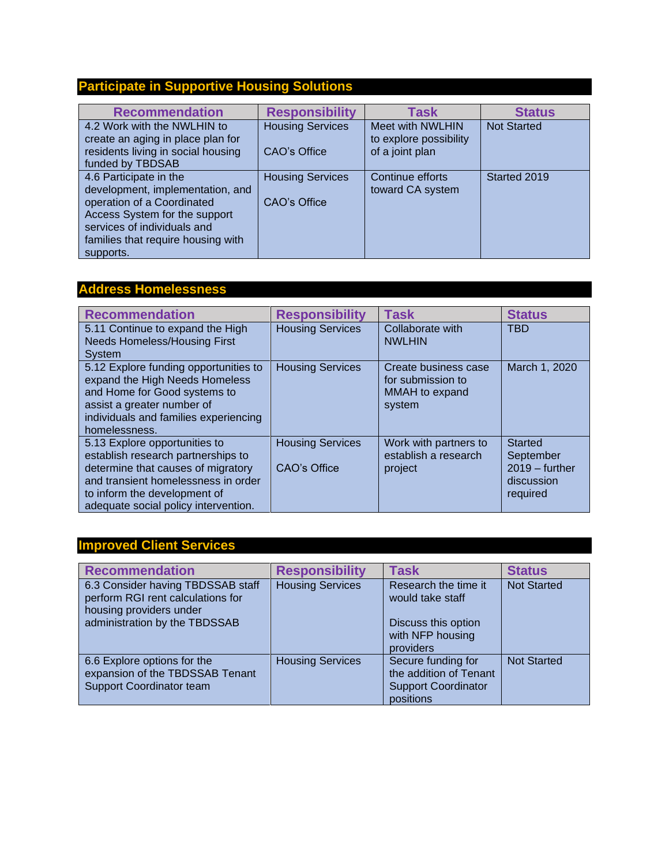# **Participate in Supportive Housing Solutions**

| <b>Recommendation</b>                                                                      | <b>Responsibility</b>   | <b>Task</b>                                | <b>Status</b>      |
|--------------------------------------------------------------------------------------------|-------------------------|--------------------------------------------|--------------------|
| 4.2 Work with the NWLHIN to<br>create an aging in place plan for                           | <b>Housing Services</b> | Meet with NWLHIN<br>to explore possibility | <b>Not Started</b> |
| residents living in social housing<br>funded by TBDSAB                                     | CAO's Office            | of a joint plan                            |                    |
| 4.6 Participate in the<br>development, implementation, and                                 | <b>Housing Services</b> | Continue efforts<br>toward CA system       | Started 2019       |
| operation of a Coordinated<br>Access System for the support<br>services of individuals and | CAO's Office            |                                            |                    |
| families that require housing with<br>supports.                                            |                         |                                            |                    |

## **Address Homelessness**

| <b>Recommendation</b>                                                                                                                                                                                                    | <b>Responsibility</b>                   | <b>Task</b>                                                           | <b>Status</b>                                                             |
|--------------------------------------------------------------------------------------------------------------------------------------------------------------------------------------------------------------------------|-----------------------------------------|-----------------------------------------------------------------------|---------------------------------------------------------------------------|
| 5.11 Continue to expand the High<br><b>Needs Homeless/Housing First</b><br>System                                                                                                                                        | <b>Housing Services</b>                 | Collaborate with<br><b>NWLHIN</b>                                     | <b>TBD</b>                                                                |
| 5.12 Explore funding opportunities to<br>expand the High Needs Homeless<br>and Home for Good systems to<br>assist a greater number of<br>individuals and families experiencing<br>homelessness.                          | <b>Housing Services</b>                 | Create business case<br>for submission to<br>MMAH to expand<br>system | March 1, 2020                                                             |
| 5.13 Explore opportunities to<br>establish research partnerships to<br>determine that causes of migratory<br>and transient homelessness in order<br>to inform the development of<br>adequate social policy intervention. | <b>Housing Services</b><br>CAO's Office | Work with partners to<br>establish a research<br>project              | <b>Started</b><br>September<br>$2019 -$ further<br>discussion<br>required |

### **Improved Client Services**

| <b>Recommendation</b>                                                                                                              | <b>Responsibility</b>   | <b>Task</b>                                                                                      | <b>Status</b>      |
|------------------------------------------------------------------------------------------------------------------------------------|-------------------------|--------------------------------------------------------------------------------------------------|--------------------|
| 6.3 Consider having TBDSSAB staff<br>perform RGI rent calculations for<br>housing providers under<br>administration by the TBDSSAB | <b>Housing Services</b> | Research the time it<br>would take staff<br>Discuss this option<br>with NFP housing<br>providers | <b>Not Started</b> |
| 6.6 Explore options for the<br>expansion of the TBDSSAB Tenant<br><b>Support Coordinator team</b>                                  | <b>Housing Services</b> | Secure funding for<br>the addition of Tenant<br><b>Support Coordinator</b><br>positions          | <b>Not Started</b> |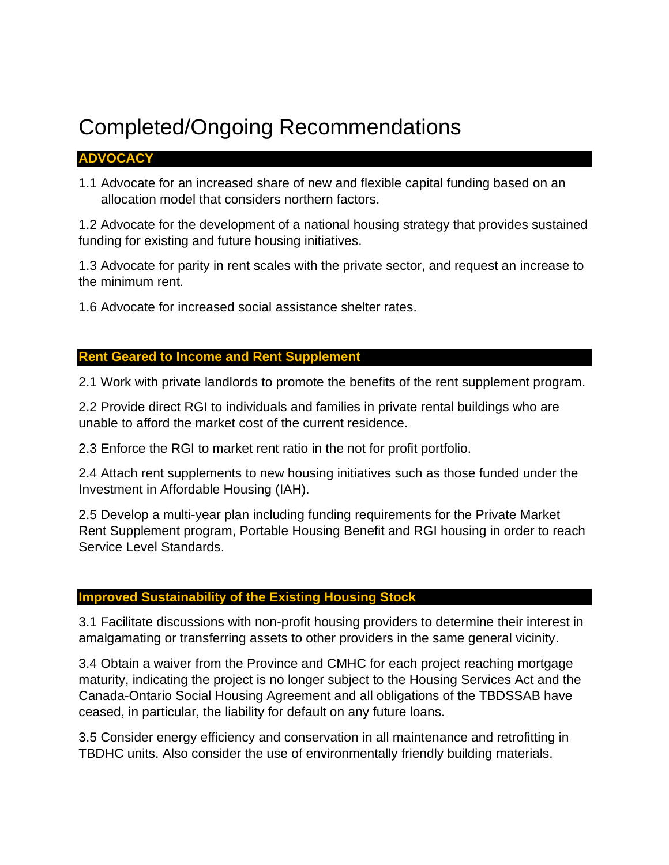# Completed/Ongoing Recommendations

### **ADVOCACY**

1.1 Advocate for an increased share of new and flexible capital funding based on an allocation model that considers northern factors.

1.2 Advocate for the development of a national housing strategy that provides sustained funding for existing and future housing initiatives.

1.3 Advocate for parity in rent scales with the private sector, and request an increase to the minimum rent.

1.6 Advocate for increased social assistance shelter rates.

### **Rent Geared to Income and Rent Supplement**

2.1 Work with private landlords to promote the benefits of the rent supplement program.

2.2 Provide direct RGI to individuals and families in private rental buildings who are unable to afford the market cost of the current residence.

2.3 Enforce the RGI to market rent ratio in the not for profit portfolio.

2.4 Attach rent supplements to new housing initiatives such as those funded under the Investment in Affordable Housing (IAH).

2.5 Develop a multi-year plan including funding requirements for the Private Market Rent Supplement program, Portable Housing Benefit and RGI housing in order to reach Service Level Standards.

### **Improved Sustainability of the Existing Housing Stock**

3.1 Facilitate discussions with non-profit housing providers to determine their interest in amalgamating or transferring assets to other providers in the same general vicinity.

3.4 Obtain a waiver from the Province and CMHC for each project reaching mortgage maturity, indicating the project is no longer subject to the Housing Services Act and the Canada-Ontario Social Housing Agreement and all obligations of the TBDSSAB have ceased, in particular, the liability for default on any future loans.

3.5 Consider energy efficiency and conservation in all maintenance and retrofitting in TBDHC units. Also consider the use of environmentally friendly building materials.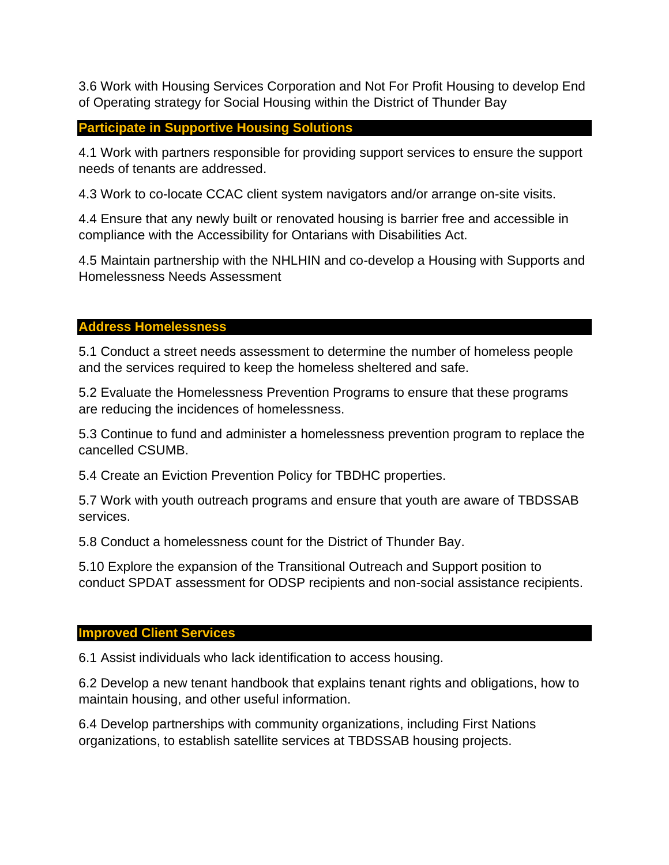3.6 Work with Housing Services Corporation and Not For Profit Housing to develop End of Operating strategy for Social Housing within the District of Thunder Bay

**Participate in Supportive Housing Solutions**

4.1 Work with partners responsible for providing support services to ensure the support needs of tenants are addressed.

4.3 Work to co-locate CCAC client system navigators and/or arrange on-site visits.

4.4 Ensure that any newly built or renovated housing is barrier free and accessible in compliance with the Accessibility for Ontarians with Disabilities Act.

4.5 Maintain partnership with the NHLHIN and co-develop a Housing with Supports and Homelessness Needs Assessment

#### **Address Homelessness**

5.1 Conduct a street needs assessment to determine the number of homeless people and the services required to keep the homeless sheltered and safe.

5.2 Evaluate the Homelessness Prevention Programs to ensure that these programs are reducing the incidences of homelessness.

5.3 Continue to fund and administer a homelessness prevention program to replace the cancelled CSUMB.

5.4 Create an Eviction Prevention Policy for TBDHC properties.

5.7 Work with youth outreach programs and ensure that youth are aware of TBDSSAB services.

5.8 Conduct a homelessness count for the District of Thunder Bay.

5.10 Explore the expansion of the Transitional Outreach and Support position to conduct SPDAT assessment for ODSP recipients and non-social assistance recipients.

#### **Improved Client Services**

6.1 Assist individuals who lack identification to access housing.

6.2 Develop a new tenant handbook that explains tenant rights and obligations, how to maintain housing, and other useful information.

6.4 Develop partnerships with community organizations, including First Nations organizations, to establish satellite services at TBDSSAB housing projects.